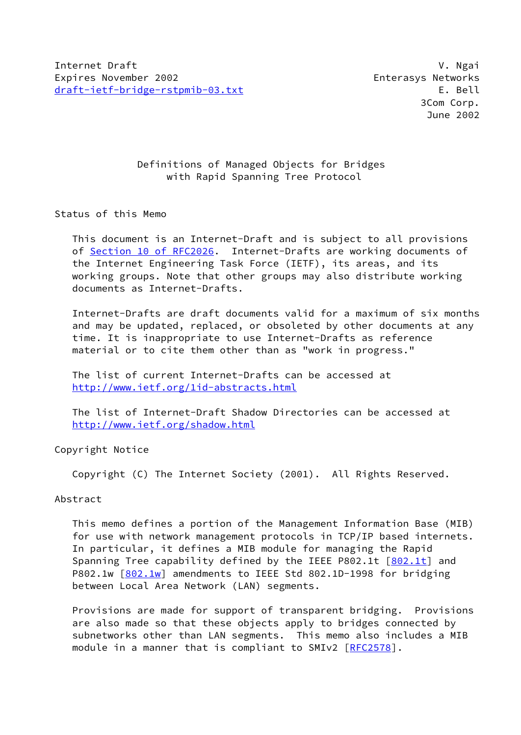# Definitions of Managed Objects for Bridges with Rapid Spanning Tree Protocol

## Status of this Memo

 This document is an Internet-Draft and is subject to all provisions of Section [10 of RFC2026.](https://datatracker.ietf.org/doc/pdf/rfc2026#section-10) Internet-Drafts are working documents of the Internet Engineering Task Force (IETF), its areas, and its working groups. Note that other groups may also distribute working documents as Internet-Drafts.

 Internet-Drafts are draft documents valid for a maximum of six months and may be updated, replaced, or obsoleted by other documents at any time. It is inappropriate to use Internet-Drafts as reference material or to cite them other than as "work in progress."

 The list of current Internet-Drafts can be accessed at <http://www.ietf.org/1id-abstracts.html>

 The list of Internet-Draft Shadow Directories can be accessed at <http://www.ietf.org/shadow.html>

Copyright Notice

Copyright (C) The Internet Society (2001). All Rights Reserved.

## Abstract

 This memo defines a portion of the Management Information Base (MIB) for use with network management protocols in TCP/IP based internets. In particular, it defines a MIB module for managing the Rapid Spanning Tree capability defined by the IEEE P802.1t  $[802.1t]$  $[802.1t]$  and P802.1w  $[802.1w]$  $[802.1w]$  amendments to IEEE Std 802.1D-1998 for bridging between Local Area Network (LAN) segments.

 Provisions are made for support of transparent bridging. Provisions are also made so that these objects apply to bridges connected by subnetworks other than LAN segments. This memo also includes a MIB module in a manner that is compliant to SMIv2 [[RFC2578](https://datatracker.ietf.org/doc/pdf/rfc2578)].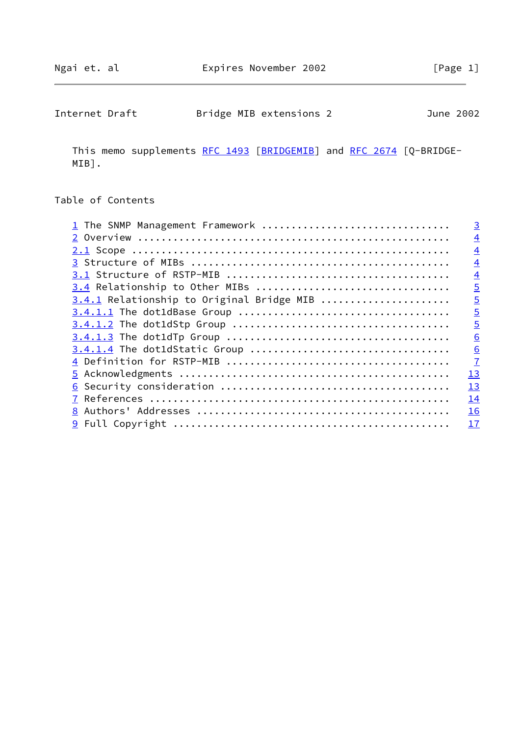| Internet Draft | Bridge MIB extensions 2 | June 2002 |
|----------------|-------------------------|-----------|
|----------------|-------------------------|-----------|

This memo supplements [RFC 1493](https://datatracker.ietf.org/doc/pdf/rfc1493) [\[BRIDGEMIB](#page-16-2)] and [RFC 2674](https://datatracker.ietf.org/doc/pdf/rfc2674) [Q-BRIDGE-MIB].

# Table of Contents

| 1 The SNMP Management Framework           | $\overline{3}$ |
|-------------------------------------------|----------------|
|                                           | $\overline{4}$ |
|                                           | $\overline{4}$ |
|                                           | $\overline{4}$ |
|                                           | $\overline{4}$ |
| 3.4 Relationship to Other MIBs            | $\overline{5}$ |
| 3.4.1 Relationship to Original Bridge MIB | $\overline{5}$ |
|                                           | $\overline{5}$ |
|                                           | $\overline{5}$ |
|                                           | 6              |
|                                           | 6              |
|                                           | $\overline{1}$ |
|                                           | 13             |
|                                           | 13             |
|                                           | 14             |
|                                           | 16             |
|                                           | 17             |
|                                           |                |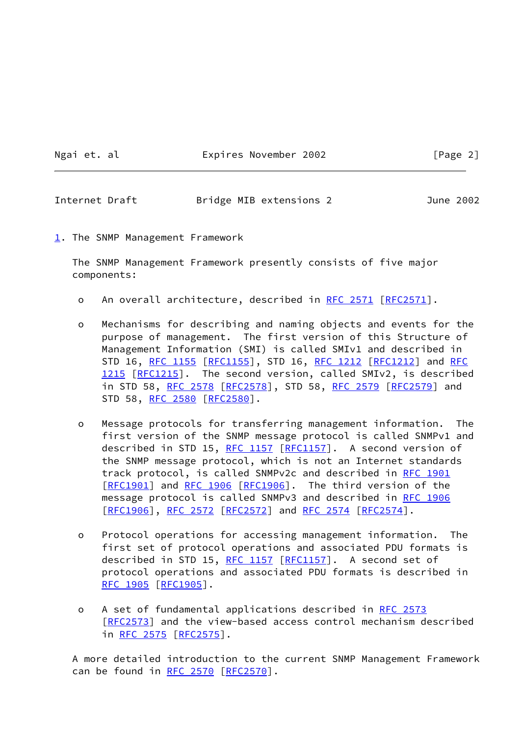### Ngai et. al Expires November 2002 [Page 2]

<span id="page-2-1"></span>Internet Draft Bridge MIB extensions 2 June 2002

<span id="page-2-0"></span>[1](#page-2-0). The SNMP Management Framework

 The SNMP Management Framework presently consists of five major components:

- o An overall architecture, described in [RFC 2571 \[RFC2571](https://datatracker.ietf.org/doc/pdf/rfc2571)].
- o Mechanisms for describing and naming objects and events for the purpose of management. The first version of this Structure of Management Information (SMI) is called SMIv1 and described in STD 16, [RFC 1155](https://datatracker.ietf.org/doc/pdf/rfc1155) [[RFC1155](https://datatracker.ietf.org/doc/pdf/rfc1155)], STD 16, [RFC 1212](https://datatracker.ietf.org/doc/pdf/rfc1212) [[RFC1212](https://datatracker.ietf.org/doc/pdf/rfc1212)] and [RFC](https://datatracker.ietf.org/doc/pdf/rfc1215) [1215](https://datatracker.ietf.org/doc/pdf/rfc1215) [[RFC1215](https://datatracker.ietf.org/doc/pdf/rfc1215)]. The second version, called SMIv2, is described in STD 58, [RFC 2578](https://datatracker.ietf.org/doc/pdf/rfc2578) [\[RFC2578](https://datatracker.ietf.org/doc/pdf/rfc2578)], STD 58, [RFC 2579 \[RFC2579](https://datatracker.ietf.org/doc/pdf/rfc2579)] and STD 58, [RFC 2580](https://datatracker.ietf.org/doc/pdf/rfc2580) [[RFC2580](https://datatracker.ietf.org/doc/pdf/rfc2580)].
- o Message protocols for transferring management information. The first version of the SNMP message protocol is called SNMPv1 and described in STD 15, [RFC 1157](https://datatracker.ietf.org/doc/pdf/rfc1157) [[RFC1157\]](https://datatracker.ietf.org/doc/pdf/rfc1157). A second version of the SNMP message protocol, which is not an Internet standards track protocol, is called SNMPv2c and described in [RFC 1901](https://datatracker.ietf.org/doc/pdf/rfc1901) [\[RFC1901](https://datatracker.ietf.org/doc/pdf/rfc1901)] and [RFC 1906 \[RFC1906](https://datatracker.ietf.org/doc/pdf/rfc1906)]. The third version of the message protocol is called SNMPv3 and described in [RFC 1906](https://datatracker.ietf.org/doc/pdf/rfc1906) [\[RFC1906](https://datatracker.ietf.org/doc/pdf/rfc1906)], [RFC 2572](https://datatracker.ietf.org/doc/pdf/rfc2572) [\[RFC2572](https://datatracker.ietf.org/doc/pdf/rfc2572)] and [RFC 2574 \[RFC2574](https://datatracker.ietf.org/doc/pdf/rfc2574)].
- o Protocol operations for accessing management information. The first set of protocol operations and associated PDU formats is described in STD 15, [RFC 1157](https://datatracker.ietf.org/doc/pdf/rfc1157) [[RFC1157\]](https://datatracker.ietf.org/doc/pdf/rfc1157). A second set of protocol operations and associated PDU formats is described in [RFC 1905](https://datatracker.ietf.org/doc/pdf/rfc1905) [[RFC1905](https://datatracker.ietf.org/doc/pdf/rfc1905)].
- o A set of fundamental applications described in [RFC 2573](https://datatracker.ietf.org/doc/pdf/rfc2573) [\[RFC2573](https://datatracker.ietf.org/doc/pdf/rfc2573)] and the view-based access control mechanism described in [RFC 2575](https://datatracker.ietf.org/doc/pdf/rfc2575) [\[RFC2575](https://datatracker.ietf.org/doc/pdf/rfc2575)].

 A more detailed introduction to the current SNMP Management Framework can be found in [RFC 2570](https://datatracker.ietf.org/doc/pdf/rfc2570) [\[RFC2570](https://datatracker.ietf.org/doc/pdf/rfc2570)].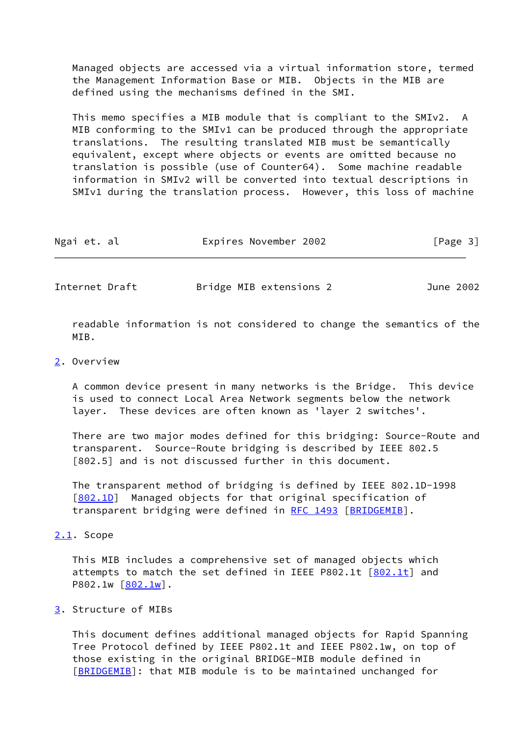Managed objects are accessed via a virtual information store, termed the Management Information Base or MIB. Objects in the MIB are defined using the mechanisms defined in the SMI.

 This memo specifies a MIB module that is compliant to the SMIv2. A MIB conforming to the SMIv1 can be produced through the appropriate translations. The resulting translated MIB must be semantically equivalent, except where objects or events are omitted because no translation is possible (use of Counter64). Some machine readable information in SMIv2 will be converted into textual descriptions in SMIv1 during the translation process. However, this loss of machine

| Ngai et. al |  | Expires November 2002 |  | [Page 3] |
|-------------|--|-----------------------|--|----------|
|-------------|--|-----------------------|--|----------|

<span id="page-3-1"></span>Internet Draft Bridge MIB extensions 2 June 2002

 readable information is not considered to change the semantics of the MTR.

#### <span id="page-3-0"></span>[2](#page-3-0). Overview

 A common device present in many networks is the Bridge. This device is used to connect Local Area Network segments below the network layer. These devices are often known as 'layer 2 switches'.

 There are two major modes defined for this bridging: Source-Route and transparent. Source-Route bridging is described by IEEE 802.5 [802.5] and is not discussed further in this document.

 The transparent method of bridging is defined by IEEE 802.1D-1998 [\[802.1D](#page-16-3)] Managed objects for that original specification of transparent bridging were defined in [RFC 1493](https://datatracker.ietf.org/doc/pdf/rfc1493) [[BRIDGEMIB\]](#page-16-2).

### <span id="page-3-2"></span>[2.1](#page-3-2). Scope

 This MIB includes a comprehensive set of managed objects which attempts to match the set defined in IEEE P[802.1t](#page-16-0) [802.1t] and  $P802.1w [\underline{802.1w}]$ .

### <span id="page-3-3"></span>[3](#page-3-3). Structure of MIBs

 This document defines additional managed objects for Rapid Spanning Tree Protocol defined by IEEE P802.1t and IEEE P802.1w, on top of those existing in the original BRIDGE-MIB module defined in [\[BRIDGEMIB](#page-16-2)]: that MIB module is to be maintained unchanged for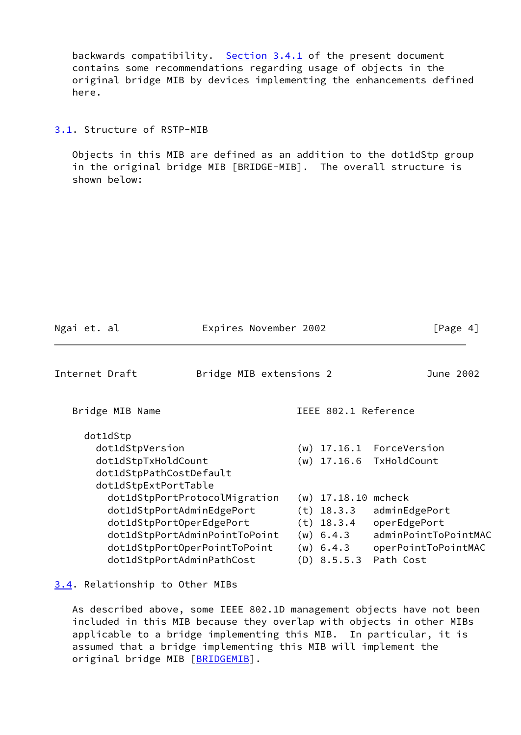backwards compatibility. [Section 3.4.1](#page-5-0) of the present document contains some recommendations regarding usage of objects in the original bridge MIB by devices implementing the enhancements defined here.

<span id="page-4-0"></span>[3.1](#page-4-0). Structure of RSTP-MIB

 Objects in this MIB are defined as an addition to the dot1dStp group in the original bridge MIB [BRIDGE-MIB]. The overall structure is shown below:

<span id="page-4-2"></span>

| Ngai et. al                                                                                                        | Expires November 2002                                          |                                                                                               | [Page 4]                                                                                            |
|--------------------------------------------------------------------------------------------------------------------|----------------------------------------------------------------|-----------------------------------------------------------------------------------------------|-----------------------------------------------------------------------------------------------------|
| Internet Draft                                                                                                     | Bridge MIB extensions 2                                        |                                                                                               | June 2002                                                                                           |
| Bridge MIB Name                                                                                                    |                                                                | IEEE 802.1 Reference                                                                          |                                                                                                     |
| dot1dStp<br>dot1dStpVersion<br>dot1dStpTxHoldCount<br>dot1dStpPathCostDefault<br>dot1dStpExtPortTable              | (w)<br>(w)                                                     |                                                                                               | 17.16.1 ForceVersion<br>17.16.6 TxHoldCount                                                         |
| dot1dStpPortAdminEdgePort<br>dot1dStpPortOperEdgePort<br>dot1dStpPortOperPointToPoint<br>dot1dStpPortAdminPathCost | dot1dStpPortProtocolMigration<br>dot1dStpPortAdminPointToPoint | $(w)$ 17.18.10<br>$(t)$ 18.3.3<br>$(t)$ 18.3.4<br>$(w)$ 6.4.3<br>$(w)$ 6.4.3<br>$(D)$ 8.5.5.3 | mcheck<br>adminEdgePort<br>operEdgePort<br>adminPointToPointMAC<br>operPointToPointMAC<br>Path Cost |

<span id="page-4-1"></span>[3.4](#page-4-1). Relationship to Other MIBs

 As described above, some IEEE 802.1D management objects have not been included in this MIB because they overlap with objects in other MIBs applicable to a bridge implementing this MIB. In particular, it is assumed that a bridge implementing this MIB will implement the original bridge MIB [\[BRIDGEMIB](#page-16-2)].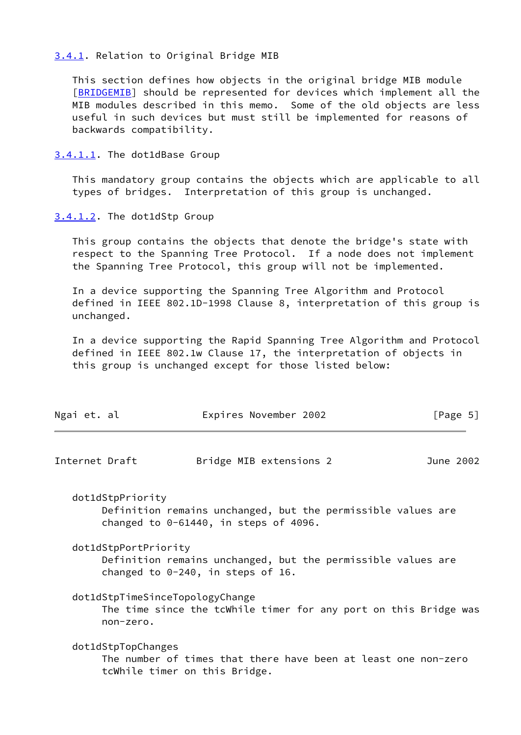### <span id="page-5-0"></span>[3.4.1](#page-5-0). Relation to Original Bridge MIB

 This section defines how objects in the original bridge MIB module [\[BRIDGEMIB](#page-16-2)] should be represented for devices which implement all the MIB modules described in this memo. Some of the old objects are less useful in such devices but must still be implemented for reasons of backwards compatibility.

<span id="page-5-1"></span>[3.4.1.1](#page-5-1). The dot1dBase Group

 This mandatory group contains the objects which are applicable to all types of bridges. Interpretation of this group is unchanged.

<span id="page-5-2"></span>[3.4.1.2](#page-5-2). The dot1dStp Group

 This group contains the objects that denote the bridge's state with respect to the Spanning Tree Protocol. If a node does not implement the Spanning Tree Protocol, this group will not be implemented.

 In a device supporting the Spanning Tree Algorithm and Protocol defined in IEEE 802.1D-1998 Clause 8, interpretation of this group is unchanged.

 In a device supporting the Rapid Spanning Tree Algorithm and Protocol defined in IEEE 802.1w Clause 17, the interpretation of objects in this group is unchanged except for those listed below:

<span id="page-5-3"></span>

| Ngai et. al                                  | Expires November 2002                                                                                    | [Page 5]  |
|----------------------------------------------|----------------------------------------------------------------------------------------------------------|-----------|
| Internet Draft                               | Bridge MIB extensions 2                                                                                  | June 2002 |
| dot1dStpPriority                             | Definition remains unchanged, but the permissible values are<br>changed to $0-61440$ , in steps of 4096. |           |
| dot1dStpPortPriority                         | Definition remains unchanged, but the permissible values are<br>changed to $0-240$ , in steps of 16.     |           |
| dot1dStpTimeSinceTopologyChange<br>non-zero. | The time since the tcWhile timer for any port on this Bridge was                                         |           |
| dot1dStpTopChanges                           | The number of times that there have been at least one non-zero<br>tcWhile timer on this Bridge.          |           |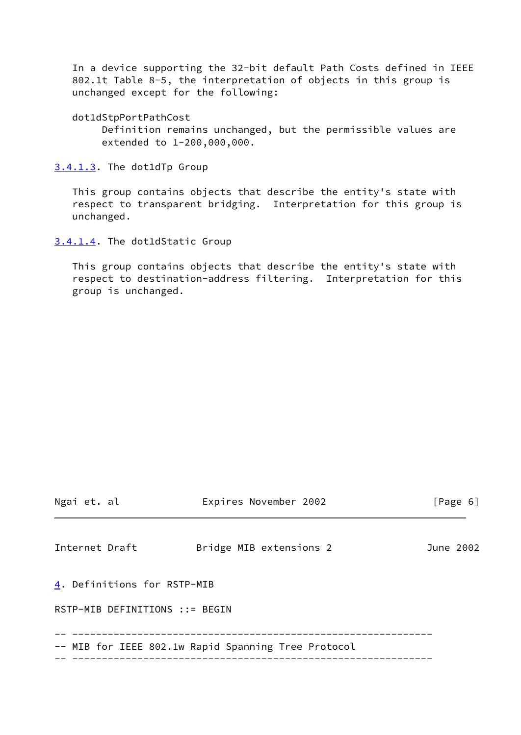In a device supporting the 32-bit default Path Costs defined in IEEE 802.1t Table 8-5, the interpretation of objects in this group is unchanged except for the following:

dot1dStpPortPathCost

 Definition remains unchanged, but the permissible values are extended to 1-200,000,000.

<span id="page-6-0"></span>[3.4.1.3](#page-6-0). The dot1dTp Group

 This group contains objects that describe the entity's state with respect to transparent bridging. Interpretation for this group is unchanged.

<span id="page-6-1"></span>[3.4.1.4](#page-6-1). The dot1dStatic Group

 This group contains objects that describe the entity's state with respect to destination-address filtering. Interpretation for this group is unchanged.

<span id="page-6-3"></span><span id="page-6-2"></span>

| Ngai et. al                    | Expires November 2002                               | [Page 6]  |
|--------------------------------|-----------------------------------------------------|-----------|
| Internet Draft                 | Bridge MIB extensions 2                             | June 2002 |
| 4. Definitions for RSTP-MIB    |                                                     |           |
| RSTP-MIB DEFINITIONS ::= BEGIN |                                                     |           |
|                                | -- MIB for IEEE 802.1w Rapid Spanning Tree Protocol |           |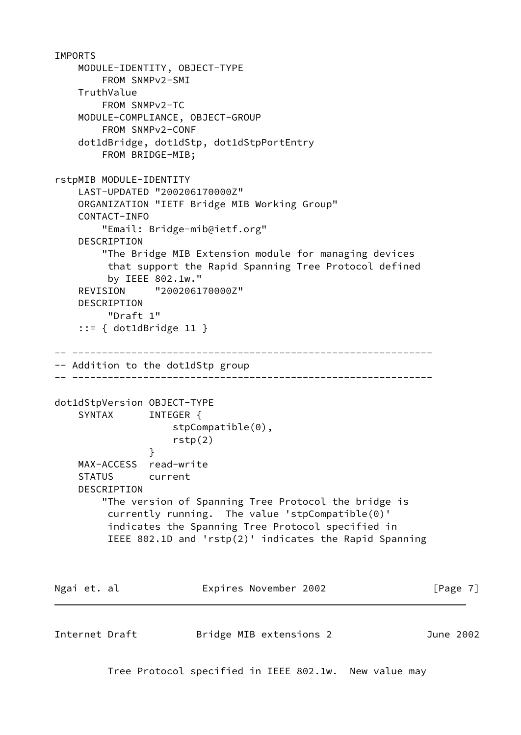```
IMPORTS
     MODULE-IDENTITY, OBJECT-TYPE
         FROM SNMPv2-SMI
     TruthValue
         FROM SNMPv2-TC
     MODULE-COMPLIANCE, OBJECT-GROUP
         FROM SNMPv2-CONF
     dot1dBridge, dot1dStp, dot1dStpPortEntry
         FROM BRIDGE-MIB;
rstpMIB MODULE-IDENTITY
     LAST-UPDATED "200206170000Z"
     ORGANIZATION "IETF Bridge MIB Working Group"
     CONTACT-INFO
         "Email: Bridge-mib@ietf.org"
     DESCRIPTION
         "The Bridge MIB Extension module for managing devices
         that support the Rapid Spanning Tree Protocol defined
          by IEEE 802.1w."
     REVISION "200206170000Z"
     DESCRIPTION
          "Draft 1"
     ::= { dot1dBridge 11 }
-- -------------------------------------------------------------
-- Addition to the dot1dStp group
-- -------------------------------------------------------------
dot1dStpVersion OBJECT-TYPE
    SYNTAX INTEGER {
                    stpCompatible(0),
                    rstp(2)
 }
     MAX-ACCESS read-write
     STATUS current
     DESCRIPTION
         "The version of Spanning Tree Protocol the bridge is
          currently running. The value 'stpCompatible(0)'
          indicates the Spanning Tree Protocol specified in
          IEEE 802.1D and 'rstp(2)' indicates the Rapid Spanning
Ngai et. al                 Expires November 2002                 [Page 7]
Internet Draft Bridge MIB extensions 2 June 2002
          Tree Protocol specified in IEEE 802.1w. New value may
```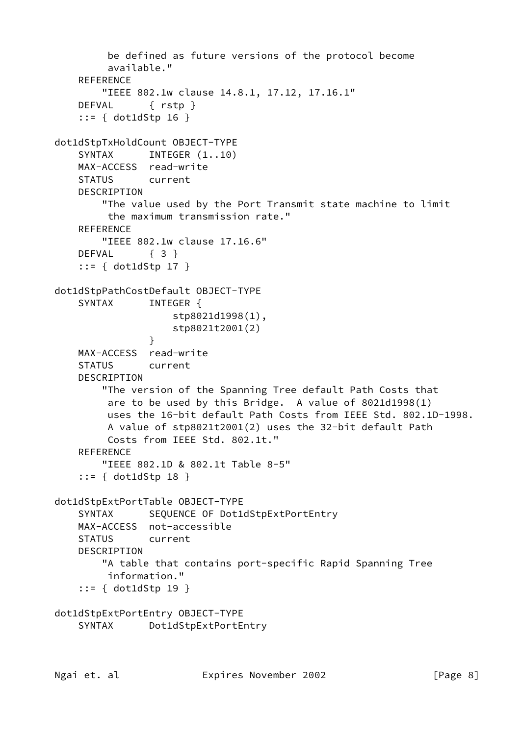```
 be defined as future versions of the protocol become
          available."
     REFERENCE
         "IEEE 802.1w clause 14.8.1, 17.12, 17.16.1"
     DEFVAL { rstp }
     ::= { dot1dStp 16 }
dot1dStpTxHoldCount OBJECT-TYPE
    SYNTAX INTEGER (1..10) MAX-ACCESS read-write
     STATUS current
    DESCRIPTION
         "The value used by the Port Transmit state machine to limit
         the maximum transmission rate."
     REFERENCE
         "IEEE 802.1w clause 17.16.6"
    DEFVAL { 3 }
     ::= { dot1dStp 17 }
dot1dStpPathCostDefault OBJECT-TYPE
    SYNTAX INTEGER {
                     stp8021d1998(1),
                    stp8021t2001(2)
 }
    MAX-ACCESS read-write
     STATUS current
     DESCRIPTION
         "The version of the Spanning Tree default Path Costs that
         are to be used by this Bridge. A value of 8021d1998(1)
         uses the 16-bit default Path Costs from IEEE Std. 802.1D-1998.
         A value of stp8021t2001(2) uses the 32-bit default Path
         Costs from IEEE Std. 802.1t."
    REFERENCE
         "IEEE 802.1D & 802.1t Table 8-5"
     ::= { dot1dStp 18 }
dot1dStpExtPortTable OBJECT-TYPE
    SYNTAX SEQUENCE OF Dot1dStpExtPortEntry
    MAX-ACCESS not-accessible
    STATUS current
    DESCRIPTION
         "A table that contains port-specific Rapid Spanning Tree
         information."
     ::= { dot1dStp 19 }
dot1dStpExtPortEntry OBJECT-TYPE
     SYNTAX Dot1dStpExtPortEntry
```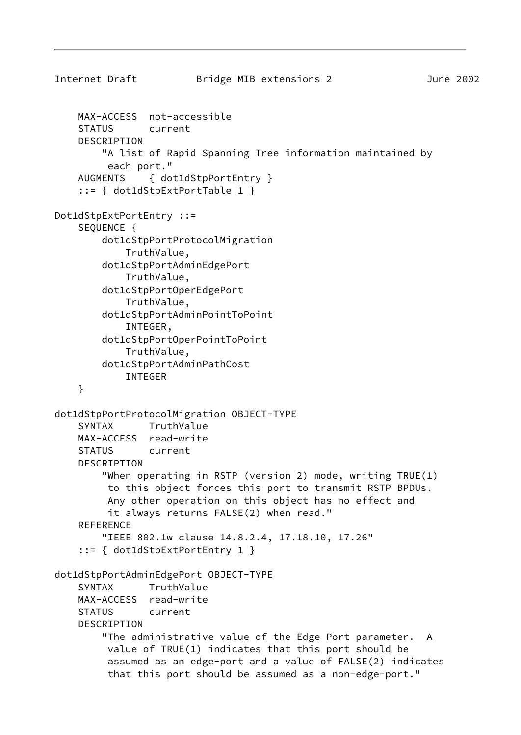```
Internet Draft Bridge MIB extensions 2 June 2002
     MAX-ACCESS not-accessible
     STATUS current
     DESCRIPTION
         "A list of Rapid Spanning Tree information maintained by
          each port."
     AUGMENTS { dot1dStpPortEntry }
     ::= { dot1dStpExtPortTable 1 }
Dot1dStpExtPortEntry ::=
     SEQUENCE {
         dot1dStpPortProtocolMigration
             TruthValue,
         dot1dStpPortAdminEdgePort
             TruthValue,
         dot1dStpPortOperEdgePort
             TruthValue,
         dot1dStpPortAdminPointToPoint
             INTEGER,
         dot1dStpPortOperPointToPoint
             TruthValue,
         dot1dStpPortAdminPathCost
             INTEGER
     }
dot1dStpPortProtocolMigration OBJECT-TYPE
     SYNTAX TruthValue
     MAX-ACCESS read-write
     STATUS current
     DESCRIPTION
         "When operating in RSTP (version 2) mode, writing TRUE(1)
          to this object forces this port to transmit RSTP BPDUs.
          Any other operation on this object has no effect and
          it always returns FALSE(2) when read."
    REFERENCE
         "IEEE 802.1w clause 14.8.2.4, 17.18.10, 17.26"
     ::= { dot1dStpExtPortEntry 1 }
dot1dStpPortAdminEdgePort OBJECT-TYPE
     SYNTAX TruthValue
     MAX-ACCESS read-write
     STATUS current
     DESCRIPTION
         "The administrative value of the Edge Port parameter. A
          value of TRUE(1) indicates that this port should be
          assumed as an edge-port and a value of FALSE(2) indicates
          that this port should be assumed as a non-edge-port."
```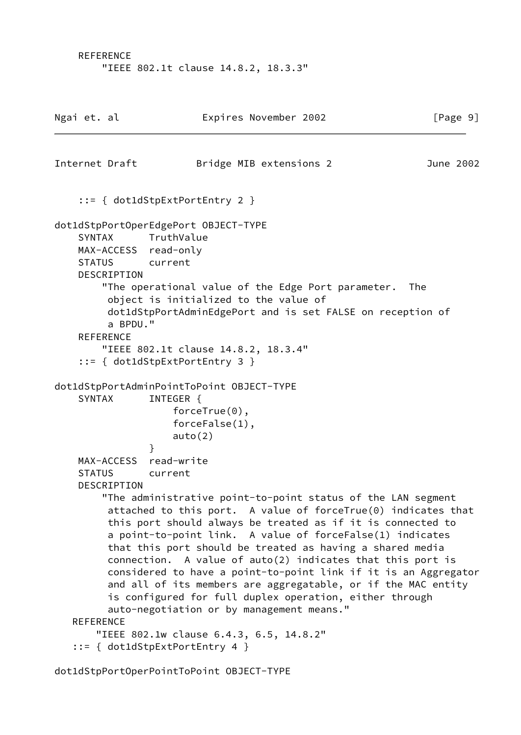REFERENCE "IEEE 802.1t clause 14.8.2, 18.3.3"

| Ngai et. al                    |                                             | Expires November 2002                                                                                                                                                                                                                                                                                                                                                                                                                                                                                                                                                                                                                                                                                                 | [Page 9]  |
|--------------------------------|---------------------------------------------|-----------------------------------------------------------------------------------------------------------------------------------------------------------------------------------------------------------------------------------------------------------------------------------------------------------------------------------------------------------------------------------------------------------------------------------------------------------------------------------------------------------------------------------------------------------------------------------------------------------------------------------------------------------------------------------------------------------------------|-----------|
|                                | Internet Draft                              | Bridge MIB extensions 2                                                                                                                                                                                                                                                                                                                                                                                                                                                                                                                                                                                                                                                                                               | June 2002 |
|                                |                                             | $::= \{ dot1dStpExtPortEntry 2 \}$                                                                                                                                                                                                                                                                                                                                                                                                                                                                                                                                                                                                                                                                                    |           |
| <b>SYNTAX</b><br><b>STATUS</b> | DESCRIPTION<br>a BPDU."<br><b>REFERENCE</b> | dot1dStpPortOperEdgePort OBJECT-TYPE<br>TruthValue<br>MAX-ACCESS read-only<br>current<br>"The operational value of the Edge Port parameter.<br>object is initialized to the value of<br>dot1dStpPortAdminEdgePort and is set FALSE on reception of<br>"IEEE 802.1t clause 14.8.2, 18.3.4"<br>$::= \{ dot1dStepExtPortEntry 3 \}$                                                                                                                                                                                                                                                                                                                                                                                      | The       |
|                                |                                             | dot1dStpPortAdminPointToPoint OBJECT-TYPE                                                                                                                                                                                                                                                                                                                                                                                                                                                                                                                                                                                                                                                                             |           |
| <b>SYNTAX</b>                  |                                             | INTEGER {<br>$forceTrue(0)$ ,<br>$forceFalse(1)$ ,<br>auto(2)<br>ł                                                                                                                                                                                                                                                                                                                                                                                                                                                                                                                                                                                                                                                    |           |
| <b>STATUS</b>                  | MAX-ACCESS<br>DESCRIPTION                   | read-write<br>current                                                                                                                                                                                                                                                                                                                                                                                                                                                                                                                                                                                                                                                                                                 |           |
| <b>REFERENCE</b>               |                                             | "The administrative point-to-point status of the LAN segment<br>attached to this port. A value of forceTrue $(0)$ indicates that<br>this port should always be treated as if it is connected to<br>a point-to-point link. A value of forceFalse(1) indicates<br>that this port should be treated as having a shared media<br>connection. A value of auto(2) indicates that this port is<br>considered to have a point-to-point link if it is an Aggregator<br>and all of its members are aggregatable, or if the MAC entity<br>is configured for full duplex operation, either through<br>auto-negotiation or by management means."<br>"IEEE 802.1w clause 6.4.3, 6.5, 14.8.2"<br>$::= \{ dot1dStepExtPortEntry 4 \}$ |           |

dot1dStpPortOperPointToPoint OBJECT-TYPE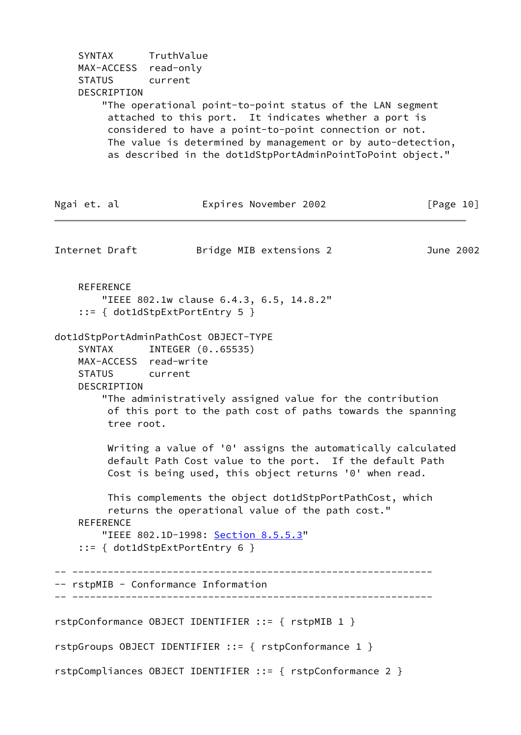SYNTAX TruthValue MAX-ACCESS read-only STATUS current DESCRIPTION "The operational point-to-point status of the LAN segment attached to this port. It indicates whether a port is considered to have a point-to-point connection or not. The value is determined by management or by auto-detection, as described in the dot1dStpPortAdminPointToPoint object." Ngai et. al Expires November 2002 [Page 10] Internet Draft Bridge MIB extensions 2 June 2002 REFERENCE "IEEE 802.1w clause 6.4.3, 6.5, 14.8.2" ::= { dot1dStpExtPortEntry 5 } dot1dStpPortAdminPathCost OBJECT-TYPE SYNTAX INTEGER (0..65535) MAX-ACCESS read-write STATUS current DESCRIPTION "The administratively assigned value for the contribution of this port to the path cost of paths towards the spanning tree root. Writing a value of '0' assigns the automatically calculated default Path Cost value to the port. If the default Path Cost is being used, this object returns '0' when read. This complements the object dot1dStpPortPathCost, which returns the operational value of the path cost." REFERENCE "IEEE 802.1D-1998: Section 8.5.5.3" ::= { dot1dStpExtPortEntry 6 } -- ------------------------------------------------------------- -- rstpMIB - Conformance Information -- ------------------------------------------------------------ rstpConformance OBJECT IDENTIFIER ::= { rstpMIB 1 } rstpGroups OBJECT IDENTIFIER ::= { rstpConformance 1 }

rstpCompliances OBJECT IDENTIFIER ::= { rstpConformance 2 }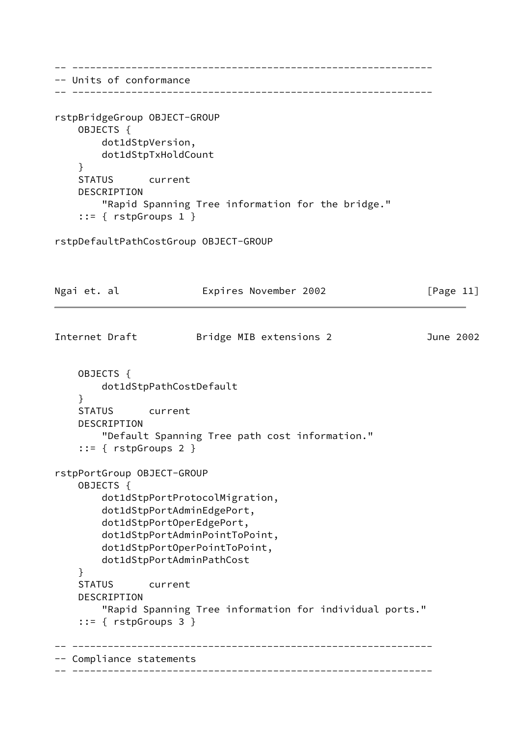-- ------------------------------------------------------------- -- Units of conformance -- ------------------------------------------------------------ rstpBridgeGroup OBJECT-GROUP OBJECTS { dot1dStpVersion, dot1dStpTxHoldCount } STATUS current DESCRIPTION "Rapid Spanning Tree information for the bridge." ::= { rstpGroups 1 } rstpDefaultPathCostGroup OBJECT-GROUP Ngai et. al **Expires November 2002** [Page 11] Internet Draft Bridge MIB extensions 2 June 2002 OBJECTS { dot1dStpPathCostDefault } STATUS current DESCRIPTION "Default Spanning Tree path cost information." ::= { rstpGroups 2 } rstpPortGroup OBJECT-GROUP OBJECTS { dot1dStpPortProtocolMigration, dot1dStpPortAdminEdgePort, dot1dStpPortOperEdgePort, dot1dStpPortAdminPointToPoint, dot1dStpPortOperPointToPoint, dot1dStpPortAdminPathCost } STATUS current DESCRIPTION "Rapid Spanning Tree information for individual ports." ::= { rstpGroups 3 } -- ------------------------------------------------------------- -- Compliance statements -- -------------------------------------------------------------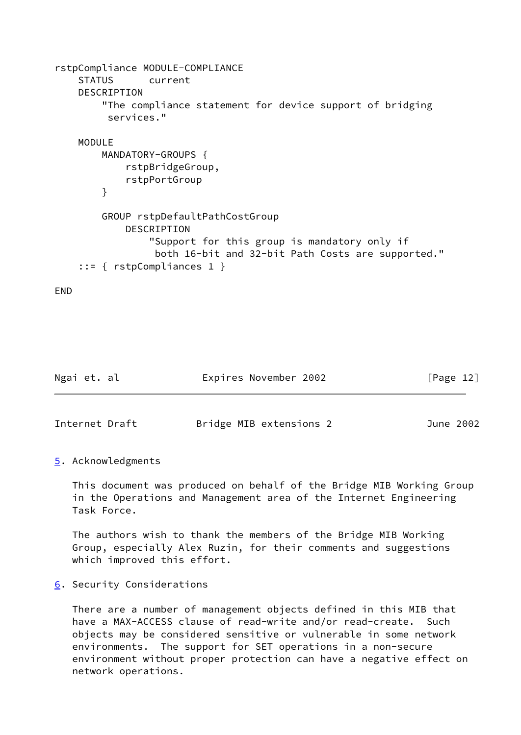```
rstpCompliance MODULE-COMPLIANCE
     STATUS current
     DESCRIPTION
         "The compliance statement for device support of bridging
          services."
     MODULE
         MANDATORY-GROUPS {
             rstpBridgeGroup,
             rstpPortGroup
         }
         GROUP rstpDefaultPathCostGroup
             DESCRIPTION
                 "Support for this group is mandatory only if
                  both 16-bit and 32-bit Path Costs are supported."
     ::= { rstpCompliances 1 }
```
END

<span id="page-13-1"></span>

| Ngai et. al    | Expires November 2002   | [Page 12] |
|----------------|-------------------------|-----------|
|                |                         |           |
| Internet Draft | Bridge MIB extensions 2 | June 2002 |

<span id="page-13-0"></span>[5](#page-13-0). Acknowledgments

 This document was produced on behalf of the Bridge MIB Working Group in the Operations and Management area of the Internet Engineering Task Force.

 The authors wish to thank the members of the Bridge MIB Working Group, especially Alex Ruzin, for their comments and suggestions which improved this effort.

<span id="page-13-2"></span>[6](#page-13-2). Security Considerations

 There are a number of management objects defined in this MIB that have a MAX-ACCESS clause of read-write and/or read-create. Such objects may be considered sensitive or vulnerable in some network environments. The support for SET operations in a non-secure environment without proper protection can have a negative effect on network operations.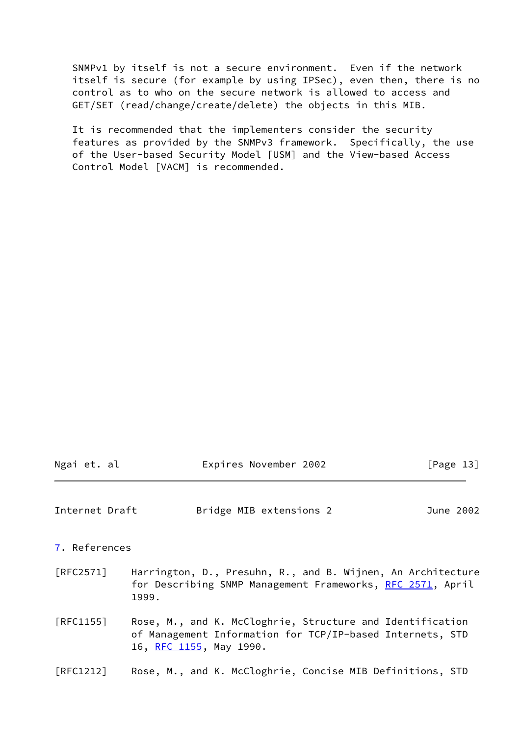SNMPv1 by itself is not a secure environment. Even if the network itself is secure (for example by using IPSec), even then, there is no control as to who on the secure network is allowed to access and GET/SET (read/change/create/delete) the objects in this MIB.

 It is recommended that the implementers consider the security features as provided by the SNMPv3 framework. Specifically, the use of the User-based Security Model [USM] and the View-based Access Control Model [VACM] is recommended.

<span id="page-14-1"></span><span id="page-14-0"></span>

| Internet Draft                 |                                                                                                                                                   | Bridge MIB extensions 2 |  | June 2002 |  |  |  |
|--------------------------------|---------------------------------------------------------------------------------------------------------------------------------------------------|-------------------------|--|-----------|--|--|--|
| 7. References                  |                                                                                                                                                   |                         |  |           |  |  |  |
| [RFC2571]                      | Harrington, D., Presuhn, R., and B. Wijnen, An Architecture<br>for Describing SNMP Management Frameworks, RFC 2571, April<br>1999.                |                         |  |           |  |  |  |
| [RFC1155]                      | Rose, M., and K. McCloghrie, Structure and Identification<br>of Management Information for TCP/IP-based Internets, STD<br>16, RFC 1155, May 1990. |                         |  |           |  |  |  |
| $\lceil \text{RFC1212} \rceil$ | Rose, M., and K. McCloghrie, Concise MIB Definitions, STD                                                                                         |                         |  |           |  |  |  |

Ngai et. al **Expires November 2002** [Page 13]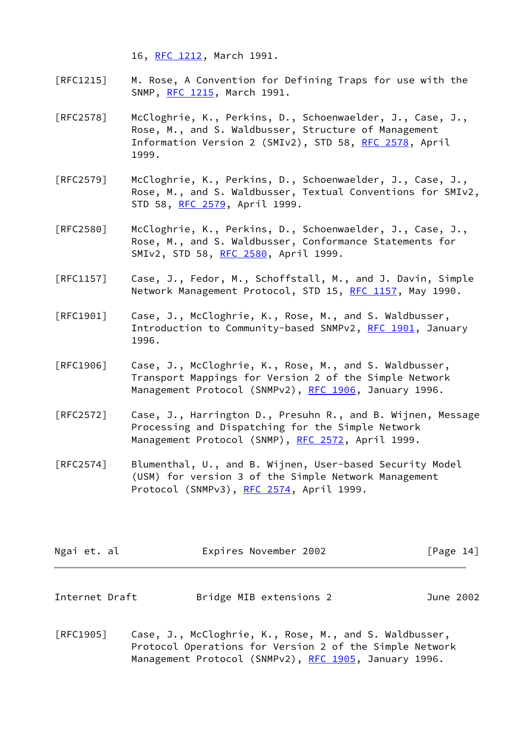16, [RFC 1212](https://datatracker.ietf.org/doc/pdf/rfc1212), March 1991.

- [RFC1215] M. Rose, A Convention for Defining Traps for use with the SNMP, [RFC 1215](https://datatracker.ietf.org/doc/pdf/rfc1215), March 1991.
- [RFC2578] McCloghrie, K., Perkins, D., Schoenwaelder, J., Case, J., Rose, M., and S. Waldbusser, Structure of Management Information Version 2 (SMIv2), STD 58, [RFC 2578](https://datatracker.ietf.org/doc/pdf/rfc2578), April 1999.
- [RFC2579] McCloghrie, K., Perkins, D., Schoenwaelder, J., Case, J., Rose, M., and S. Waldbusser, Textual Conventions for SMIv2, STD 58, [RFC 2579](https://datatracker.ietf.org/doc/pdf/rfc2579), April 1999.
- [RFC2580] McCloghrie, K., Perkins, D., Schoenwaelder, J., Case, J., Rose, M., and S. Waldbusser, Conformance Statements for SMIv2, STD 58, [RFC 2580](https://datatracker.ietf.org/doc/pdf/rfc2580), April 1999.
- [RFC1157] Case, J., Fedor, M., Schoffstall, M., and J. Davin, Simple Network Management Protocol, STD 15, [RFC 1157,](https://datatracker.ietf.org/doc/pdf/rfc1157) May 1990.
- [RFC1901] Case, J., McCloghrie, K., Rose, M., and S. Waldbusser, Introduction to Community-based SNMPv2, [RFC 1901](https://datatracker.ietf.org/doc/pdf/rfc1901), January 1996.
- [RFC1906] Case, J., McCloghrie, K., Rose, M., and S. Waldbusser, Transport Mappings for Version 2 of the Simple Network Management Protocol (SNMPv2), [RFC 1906](https://datatracker.ietf.org/doc/pdf/rfc1906), January 1996.
- [RFC2572] Case, J., Harrington D., Presuhn R., and B. Wijnen, Message Processing and Dispatching for the Simple Network Management Protocol (SNMP), [RFC 2572](https://datatracker.ietf.org/doc/pdf/rfc2572), April 1999.
- [RFC2574] Blumenthal, U., and B. Wijnen, User-based Security Model (USM) for version 3 of the Simple Network Management Protocol (SNMPv3), [RFC 2574](https://datatracker.ietf.org/doc/pdf/rfc2574), April 1999.

| Ngai et. al    | Expires November 2002   | [Page 14] |  |
|----------------|-------------------------|-----------|--|
| Internet Draft | Bridge MIB extensions 2 | June 2002 |  |

[RFC1905] Case, J., McCloghrie, K., Rose, M., and S. Waldbusser, Protocol Operations for Version 2 of the Simple Network Management Protocol (SNMPv2), [RFC 1905](https://datatracker.ietf.org/doc/pdf/rfc1905), January 1996.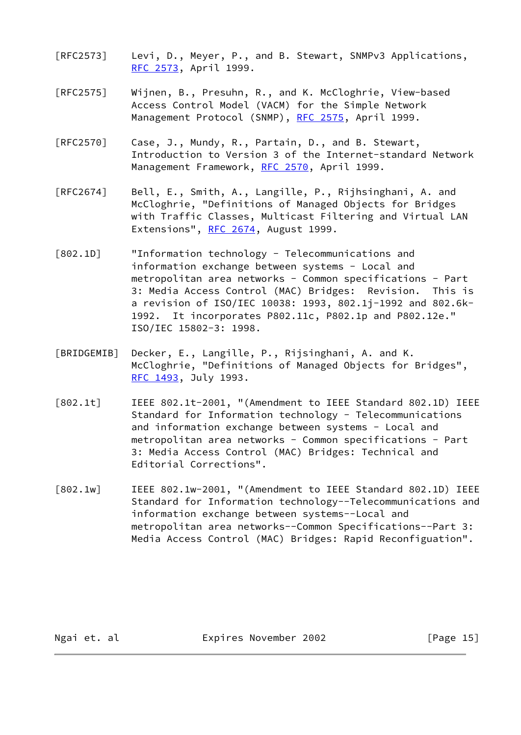- [RFC2573] Levi, D., Meyer, P., and B. Stewart, SNMPv3 Applications, [RFC 2573](https://datatracker.ietf.org/doc/pdf/rfc2573), April 1999.
- [RFC2575] Wijnen, B., Presuhn, R., and K. McCloghrie, View-based Access Control Model (VACM) for the Simple Network Management Protocol (SNMP), [RFC 2575](https://datatracker.ietf.org/doc/pdf/rfc2575), April 1999.
- [RFC2570] Case, J., Mundy, R., Partain, D., and B. Stewart, Introduction to Version 3 of the Internet-standard Network Management Framework, [RFC 2570](https://datatracker.ietf.org/doc/pdf/rfc2570), April 1999.
- [RFC2674] Bell, E., Smith, A., Langille, P., Rijhsinghani, A. and McCloghrie, "Definitions of Managed Objects for Bridges with Traffic Classes, Multicast Filtering and Virtual LAN Extensions", [RFC 2674,](https://datatracker.ietf.org/doc/pdf/rfc2674) August 1999.
- <span id="page-16-3"></span>[802.1D] "Information technology - Telecommunications and information exchange between systems - Local and metropolitan area networks - Common specifications - Part 3: Media Access Control (MAC) Bridges: Revision. This is a revision of ISO/IEC 10038: 1993, 802.1j-1992 and 802.6k- 1992. It incorporates P802.11c, P802.1p and P802.12e." ISO/IEC 15802-3: 1998.
- <span id="page-16-2"></span>[BRIDGEMIB] Decker, E., Langille, P., Rijsinghani, A. and K. McCloghrie, "Definitions of Managed Objects for Bridges", [RFC 1493](https://datatracker.ietf.org/doc/pdf/rfc1493), July 1993.
- <span id="page-16-0"></span>[802.1t] IEEE 802.1t-2001, "(Amendment to IEEE Standard 802.1D) IEEE Standard for Information technology - Telecommunications and information exchange between systems - Local and metropolitan area networks - Common specifications - Part 3: Media Access Control (MAC) Bridges: Technical and Editorial Corrections".
- <span id="page-16-1"></span>[802.1w] IEEE 802.1w-2001, "(Amendment to IEEE Standard 802.1D) IEEE Standard for Information technology--Telecommunications and information exchange between systems--Local and metropolitan area networks--Common Specifications--Part 3: Media Access Control (MAC) Bridges: Rapid Reconfiguation".

Ngai et. al **Expires November 2002** [Page 15]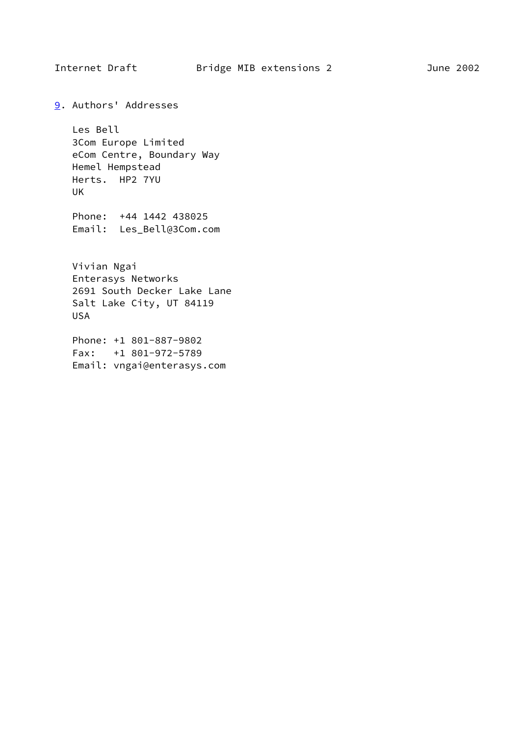<span id="page-17-0"></span>

<span id="page-17-1"></span>[9](#page-17-1). Authors' Addresses

 Les Bell 3Com Europe Limited eCom Centre, Boundary Way Hemel Hempstead Herts. HP2 7YU UK

 Phone: +44 1442 438025 Email: Les\_Bell@3Com.com

 Vivian Ngai Enterasys Networks 2691 South Decker Lake Lane Salt Lake City, UT 84119 USA

 Phone: +1 801-887-9802 Fax: +1 801-972-5789 Email: vngai@enterasys.com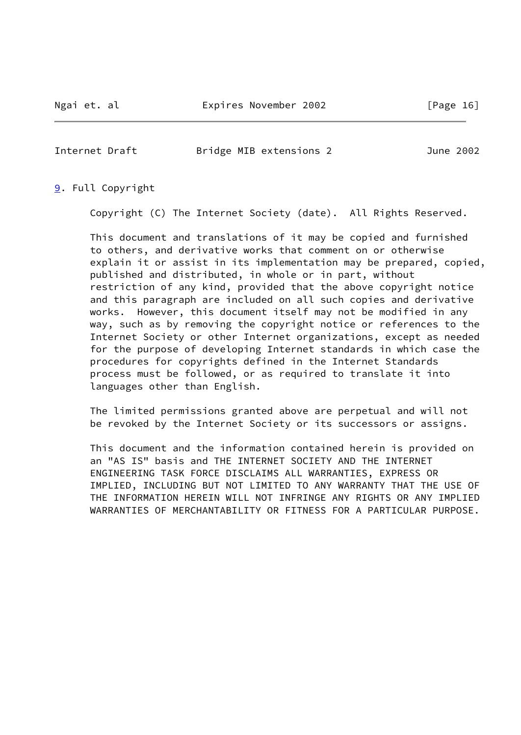<span id="page-18-0"></span>Internet Draft Bridge MIB extensions 2 June 2002

## [9](#page-17-1). Full Copyright

Copyright (C) The Internet Society (date). All Rights Reserved.

 This document and translations of it may be copied and furnished to others, and derivative works that comment on or otherwise explain it or assist in its implementation may be prepared, copied, published and distributed, in whole or in part, without restriction of any kind, provided that the above copyright notice and this paragraph are included on all such copies and derivative works. However, this document itself may not be modified in any way, such as by removing the copyright notice or references to the Internet Society or other Internet organizations, except as needed for the purpose of developing Internet standards in which case the procedures for copyrights defined in the Internet Standards process must be followed, or as required to translate it into languages other than English.

 The limited permissions granted above are perpetual and will not be revoked by the Internet Society or its successors or assigns.

 This document and the information contained herein is provided on an "AS IS" basis and THE INTERNET SOCIETY AND THE INTERNET ENGINEERING TASK FORCE DISCLAIMS ALL WARRANTIES, EXPRESS OR IMPLIED, INCLUDING BUT NOT LIMITED TO ANY WARRANTY THAT THE USE OF THE INFORMATION HEREIN WILL NOT INFRINGE ANY RIGHTS OR ANY IMPLIED WARRANTIES OF MERCHANTABILITY OR FITNESS FOR A PARTICULAR PURPOSE.